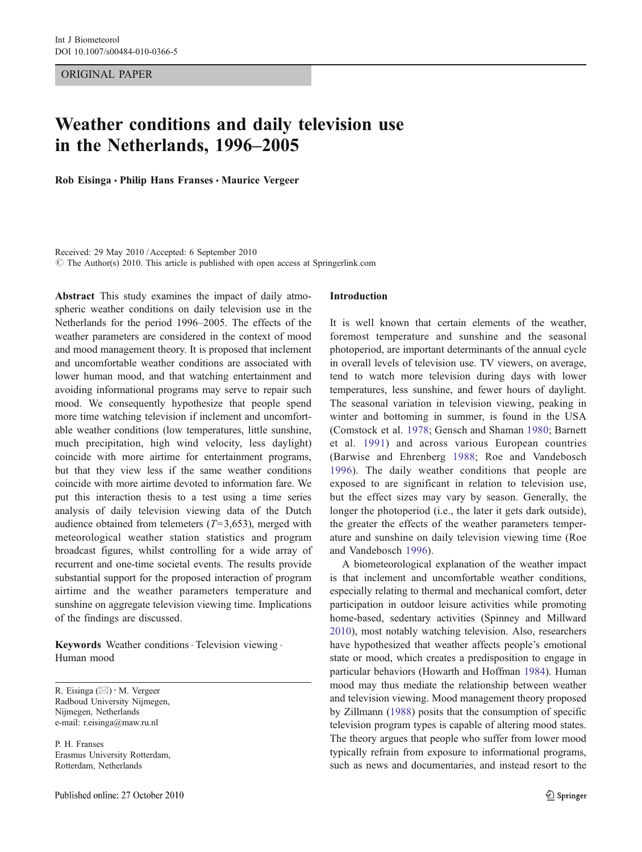#### ORIGINAL PAPER

# Weather conditions and daily television use in the Netherlands, 1996–2005

Rob Eisinga · Philip Hans Franses · Maurice Vergeer

Received: 29 May 2010 /Accepted: 6 September 2010  $\odot$  The Author(s) 2010. This article is published with open access at Springerlink.com

Abstract This study examines the impact of daily atmospheric weather conditions on daily television use in the Netherlands for the period 1996–2005. The effects of the weather parameters are considered in the context of mood and mood management theory. It is proposed that inclement and uncomfortable weather conditions are associated with lower human mood, and that watching entertainment and avoiding informational programs may serve to repair such mood. We consequently hypothesize that people spend more time watching television if inclement and uncomfortable weather conditions (low temperatures, little sunshine, much precipitation, high wind velocity, less daylight) coincide with more airtime for entertainment programs, but that they view less if the same weather conditions coincide with more airtime devoted to information fare. We put this interaction thesis to a test using a time series analysis of daily television viewing data of the Dutch audience obtained from telemeters  $(T=3,653)$ , merged with meteorological weather station statistics and program broadcast figures, whilst controlling for a wide array of recurrent and one-time societal events. The results provide substantial support for the proposed interaction of program airtime and the weather parameters temperature and sunshine on aggregate television viewing time. Implications of the findings are discussed.

Keywords Weather conditions · Television viewing · Human mood

R. Eisinga  $(\boxtimes) \cdot M$ . Vergeer Radboud University Nijmegen, Nijmegen, Netherlands e-mail: r.eisinga@maw.ru.nl

P. H. Franses Erasmus University Rotterdam, Rotterdam, Netherlands

#### Introduction

It is well known that certain elements of the weather, foremost temperature and sunshine and the seasonal photoperiod, are important determinants of the annual cycle in overall levels of television use. TV viewers, on average, tend to watch more television during days with lower temperatures, less sunshine, and fewer hours of daylight. The seasonal variation in television viewing, peaking in winter and bottoming in summer, is found in the USA (Comstock et al. [1978;](#page-9-0) Gensch and Shaman [1980](#page-9-0); Barnett et al. [1991\)](#page-9-0) and across various European countries (Barwise and Ehrenberg [1988;](#page-9-0) Roe and Vandebosch [1996\)](#page-9-0). The daily weather conditions that people are exposed to are significant in relation to television use, but the effect sizes may vary by season. Generally, the longer the photoperiod (i.e., the later it gets dark outside), the greater the effects of the weather parameters temperature and sunshine on daily television viewing time (Roe and Vandebosch [1996\)](#page-9-0).

A biometeorological explanation of the weather impact is that inclement and uncomfortable weather conditions, especially relating to thermal and mechanical comfort, deter participation in outdoor leisure activities while promoting home-based, sedentary activities (Spinney and Millward [2010](#page-9-0)), most notably watching television. Also, researchers have hypothesized that weather affects people's emotional state or mood, which creates a predisposition to engage in particular behaviors (Howarth and Hoffman [1984](#page-9-0)). Human mood may thus mediate the relationship between weather and television viewing. Mood management theory proposed by Zillmann ([1988\)](#page-9-0) posits that the consumption of specific television program types is capable of altering mood states. The theory argues that people who suffer from lower mood typically refrain from exposure to informational programs, such as news and documentaries, and instead resort to the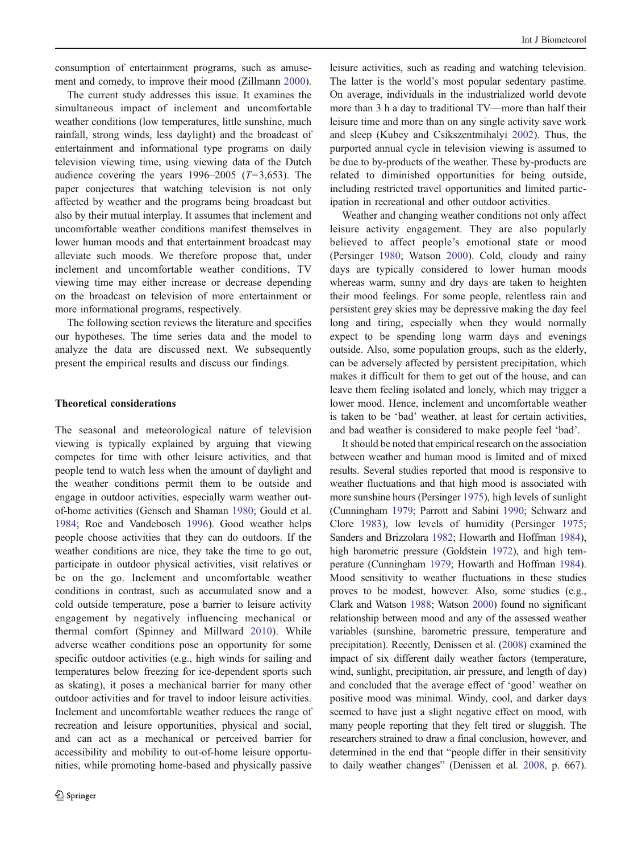consumption of entertainment programs, such as amusement and comedy, to improve their mood (Zillmann [2000](#page-9-0)).

The current study addresses this issue. It examines the simultaneous impact of inclement and uncomfortable weather conditions (low temperatures, little sunshine, much rainfall, strong winds, less daylight) and the broadcast of entertainment and informational type programs on daily television viewing time, using viewing data of the Dutch audience covering the years 1996–2005 ( $T=3,653$ ). The paper conjectures that watching television is not only affected by weather and the programs being broadcast but also by their mutual interplay. It assumes that inclement and uncomfortable weather conditions manifest themselves in lower human moods and that entertainment broadcast may alleviate such moods. We therefore propose that, under inclement and uncomfortable weather conditions, TV viewing time may either increase or decrease depending on the broadcast on television of more entertainment or more informational programs, respectively.

The following section reviews the literature and specifies our hypotheses. The time series data and the model to analyze the data are discussed next. We subsequently present the empirical results and discuss our findings.

#### Theoretical considerations

The seasonal and meteorological nature of television viewing is typically explained by arguing that viewing competes for time with other leisure activities, and that people tend to watch less when the amount of daylight and the weather conditions permit them to be outside and engage in outdoor activities, especially warm weather outof-home activities (Gensch and Shaman [1980](#page-9-0); Gould et al. [1984;](#page-9-0) Roe and Vandebosch [1996](#page-9-0)). Good weather helps people choose activities that they can do outdoors. If the weather conditions are nice, they take the time to go out, participate in outdoor physical activities, visit relatives or be on the go. Inclement and uncomfortable weather conditions in contrast, such as accumulated snow and a cold outside temperature, pose a barrier to leisure activity engagement by negatively influencing mechanical or thermal comfort (Spinney and Millward [2010\)](#page-9-0). While adverse weather conditions pose an opportunity for some specific outdoor activities (e.g., high winds for sailing and temperatures below freezing for ice-dependent sports such as skating), it poses a mechanical barrier for many other outdoor activities and for travel to indoor leisure activities. Inclement and uncomfortable weather reduces the range of recreation and leisure opportunities, physical and social, and can act as a mechanical or perceived barrier for accessibility and mobility to out-of-home leisure opportunities, while promoting home-based and physically passive

leisure activities, such as reading and watching television. The latter is the world's most popular sedentary pastime. On average, individuals in the industrialized world devote more than 3 h a day to traditional TV—more than half their leisure time and more than on any single activity save work and sleep (Kubey and Csikszentmihalyi [2002](#page-9-0)). Thus, the purported annual cycle in television viewing is assumed to be due to by-products of the weather. These by-products are related to diminished opportunities for being outside, including restricted travel opportunities and limited participation in recreational and other outdoor activities.

Weather and changing weather conditions not only affect leisure activity engagement. They are also popularly believed to affect people's emotional state or mood (Persinger [1980;](#page-9-0) Watson [2000](#page-9-0)). Cold, cloudy and rainy days are typically considered to lower human moods whereas warm, sunny and dry days are taken to heighten their mood feelings. For some people, relentless rain and persistent grey skies may be depressive making the day feel long and tiring, especially when they would normally expect to be spending long warm days and evenings outside. Also, some population groups, such as the elderly, can be adversely affected by persistent precipitation, which makes it difficult for them to get out of the house, and can leave them feeling isolated and lonely, which may trigger a lower mood. Hence, inclement and uncomfortable weather is taken to be 'bad' weather, at least for certain activities, and bad weather is considered to make people feel 'bad'.

It should be noted that empirical research on the association between weather and human mood is limited and of mixed results. Several studies reported that mood is responsive to weather fluctuations and that high mood is associated with more sunshine hours (Persinger [1975\)](#page-9-0), high levels of sunlight (Cunningham [1979](#page-9-0); Parrott and Sabini [1990](#page-9-0); Schwarz and Clore [1983\)](#page-9-0), low levels of humidity (Persinger [1975;](#page-9-0) Sanders and Brizzolara [1982](#page-9-0); Howarth and Hoffman [1984\)](#page-9-0), high barometric pressure (Goldstein [1972\)](#page-9-0), and high temperature (Cunningham [1979](#page-9-0); Howarth and Hoffman [1984\)](#page-9-0). Mood sensitivity to weather fluctuations in these studies proves to be modest, however. Also, some studies (e.g., Clark and Watson [1988](#page-9-0); Watson [2000](#page-9-0)) found no significant relationship between mood and any of the assessed weather variables (sunshine, barometric pressure, temperature and precipitation). Recently, Denissen et al. [\(2008\)](#page-9-0) examined the impact of six different daily weather factors (temperature, wind, sunlight, precipitation, air pressure, and length of day) and concluded that the average effect of 'good' weather on positive mood was minimal. Windy, cool, and darker days seemed to have just a slight negative effect on mood, with many people reporting that they felt tired or sluggish. The researchers strained to draw a final conclusion, however, and determined in the end that "people differ in their sensitivity to daily weather changes" (Denissen et al. [2008](#page-9-0), p. 667).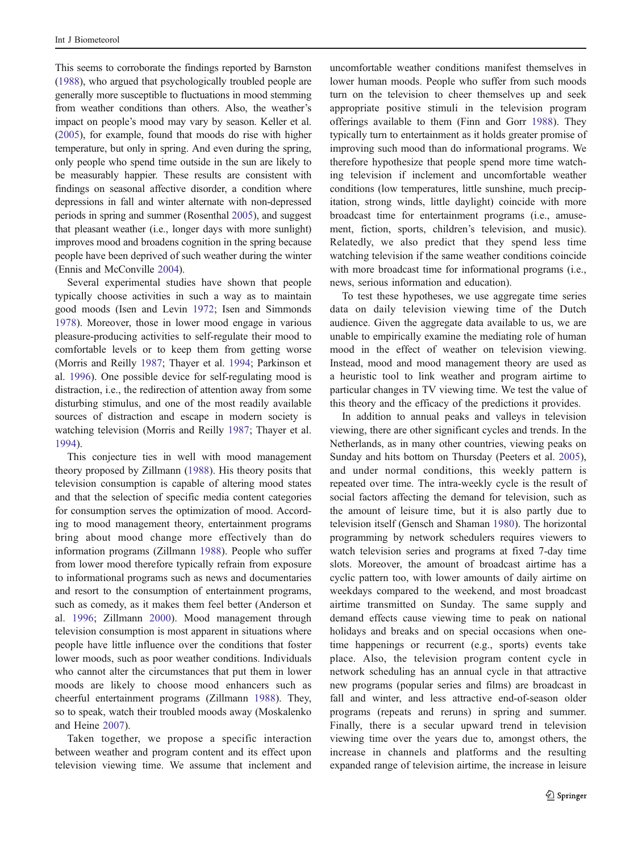This seems to corroborate the findings reported by Barnston [\(1988\)](#page-9-0), who argued that psychologically troubled people are generally more susceptible to fluctuations in mood stemming from weather conditions than others. Also, the weather's impact on people's mood may vary by season. Keller et al. [\(2005\)](#page-9-0), for example, found that moods do rise with higher temperature, but only in spring. And even during the spring, only people who spend time outside in the sun are likely to be measurably happier. These results are consistent with findings on seasonal affective disorder, a condition where depressions in fall and winter alternate with non-depressed periods in spring and summer (Rosenthal [2005\)](#page-9-0), and suggest that pleasant weather (i.e., longer days with more sunlight) improves mood and broadens cognition in the spring because people have been deprived of such weather during the winter (Ennis and McConville [2004\)](#page-9-0).

Several experimental studies have shown that people typically choose activities in such a way as to maintain good moods (Isen and Levin [1972;](#page-9-0) Isen and Simmonds [1978\)](#page-9-0). Moreover, those in lower mood engage in various pleasure-producing activities to self-regulate their mood to comfortable levels or to keep them from getting worse (Morris and Reilly [1987;](#page-9-0) Thayer et al. [1994](#page-9-0); Parkinson et al. [1996](#page-9-0)). One possible device for self-regulating mood is distraction, i.e., the redirection of attention away from some disturbing stimulus, and one of the most readily available sources of distraction and escape in modern society is watching television (Morris and Reilly [1987](#page-9-0); Thayer et al. [1994\)](#page-9-0).

This conjecture ties in well with mood management theory proposed by Zillmann [\(1988](#page-9-0)). His theory posits that television consumption is capable of altering mood states and that the selection of specific media content categories for consumption serves the optimization of mood. According to mood management theory, entertainment programs bring about mood change more effectively than do information programs (Zillmann [1988](#page-9-0)). People who suffer from lower mood therefore typically refrain from exposure to informational programs such as news and documentaries and resort to the consumption of entertainment programs, such as comedy, as it makes them feel better (Anderson et al. [1996](#page-9-0); Zillmann [2000\)](#page-9-0). Mood management through television consumption is most apparent in situations where people have little influence over the conditions that foster lower moods, such as poor weather conditions. Individuals who cannot alter the circumstances that put them in lower moods are likely to choose mood enhancers such as cheerful entertainment programs (Zillmann [1988\)](#page-9-0). They, so to speak, watch their troubled moods away (Moskalenko and Heine [2007\)](#page-9-0).

Taken together, we propose a specific interaction between weather and program content and its effect upon television viewing time. We assume that inclement and

uncomfortable weather conditions manifest themselves in lower human moods. People who suffer from such moods turn on the television to cheer themselves up and seek appropriate positive stimuli in the television program offerings available to them (Finn and Gorr [1988](#page-9-0)). They typically turn to entertainment as it holds greater promise of improving such mood than do informational programs. We therefore hypothesize that people spend more time watching television if inclement and uncomfortable weather conditions (low temperatures, little sunshine, much precipitation, strong winds, little daylight) coincide with more broadcast time for entertainment programs (i.e., amusement, fiction, sports, children's television, and music). Relatedly, we also predict that they spend less time watching television if the same weather conditions coincide with more broadcast time for informational programs (i.e., news, serious information and education).

To test these hypotheses, we use aggregate time series data on daily television viewing time of the Dutch audience. Given the aggregate data available to us, we are unable to empirically examine the mediating role of human mood in the effect of weather on television viewing. Instead, mood and mood management theory are used as a heuristic tool to link weather and program airtime to particular changes in TV viewing time. We test the value of this theory and the efficacy of the predictions it provides.

In addition to annual peaks and valleys in television viewing, there are other significant cycles and trends. In the Netherlands, as in many other countries, viewing peaks on Sunday and hits bottom on Thursday (Peeters et al. [2005\)](#page-9-0), and under normal conditions, this weekly pattern is repeated over time. The intra-weekly cycle is the result of social factors affecting the demand for television, such as the amount of leisure time, but it is also partly due to television itself (Gensch and Shaman [1980](#page-9-0)). The horizontal programming by network schedulers requires viewers to watch television series and programs at fixed 7-day time slots. Moreover, the amount of broadcast airtime has a cyclic pattern too, with lower amounts of daily airtime on weekdays compared to the weekend, and most broadcast airtime transmitted on Sunday. The same supply and demand effects cause viewing time to peak on national holidays and breaks and on special occasions when onetime happenings or recurrent (e.g., sports) events take place. Also, the television program content cycle in network scheduling has an annual cycle in that attractive new programs (popular series and films) are broadcast in fall and winter, and less attractive end-of-season older programs (repeats and reruns) in spring and summer. Finally, there is a secular upward trend in television viewing time over the years due to, amongst others, the increase in channels and platforms and the resulting expanded range of television airtime, the increase in leisure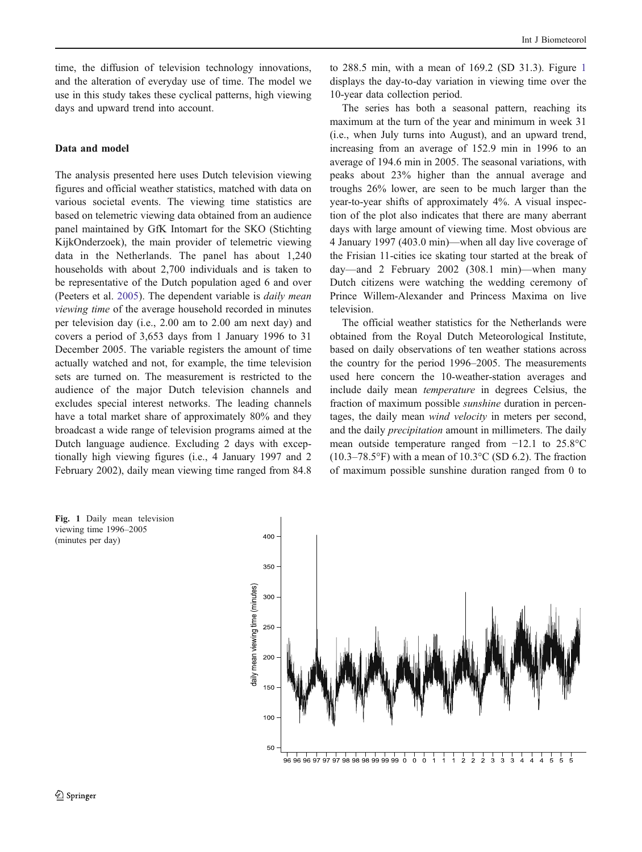time, the diffusion of television technology innovations, and the alteration of everyday use of time. The model we use in this study takes these cyclical patterns, high viewing days and upward trend into account.

## Data and model

The analysis presented here uses Dutch television viewing figures and official weather statistics, matched with data on various societal events. The viewing time statistics are based on telemetric viewing data obtained from an audience panel maintained by GfK Intomart for the SKO (Stichting KijkOnderzoek), the main provider of telemetric viewing data in the Netherlands. The panel has about 1,240 households with about 2,700 individuals and is taken to be representative of the Dutch population aged 6 and over (Peeters et al. [2005\)](#page-9-0). The dependent variable is daily mean viewing time of the average household recorded in minutes per television day (i.e., 2.00 am to 2.00 am next day) and covers a period of 3,653 days from 1 January 1996 to 31 December 2005. The variable registers the amount of time actually watched and not, for example, the time television sets are turned on. The measurement is restricted to the audience of the major Dutch television channels and excludes special interest networks. The leading channels have a total market share of approximately 80% and they broadcast a wide range of television programs aimed at the Dutch language audience. Excluding 2 days with exceptionally high viewing figures (i.e., 4 January 1997 and 2 February 2002), daily mean viewing time ranged from 84.8 to 288.5 min, with a mean of 169.2 (SD 31.3). Figure 1 displays the day-to-day variation in viewing time over the 10-year data collection period.

The series has both a seasonal pattern, reaching its maximum at the turn of the year and minimum in week 31 (i.e., when July turns into August), and an upward trend, increasing from an average of 152.9 min in 1996 to an average of 194.6 min in 2005. The seasonal variations, with peaks about 23% higher than the annual average and troughs 26% lower, are seen to be much larger than the year-to-year shifts of approximately 4%. A visual inspection of the plot also indicates that there are many aberrant days with large amount of viewing time. Most obvious are 4 January 1997 (403.0 min)—when all day live coverage of the Frisian 11-cities ice skating tour started at the break of day—and 2 February 2002 (308.1 min)—when many Dutch citizens were watching the wedding ceremony of Prince Willem-Alexander and Princess Maxima on live television.

The official weather statistics for the Netherlands were obtained from the Royal Dutch Meteorological Institute, based on daily observations of ten weather stations across the country for the period 1996–2005. The measurements used here concern the 10-weather-station averages and include daily mean temperature in degrees Celsius, the fraction of maximum possible sunshine duration in percentages, the daily mean wind velocity in meters per second, and the daily precipitation amount in millimeters. The daily mean outside temperature ranged from −12.1 to 25.8°C  $(10.3-78.5^{\circ}F)$  with a mean of  $10.3^{\circ}C$  (SD 6.2). The fraction of maximum possible sunshine duration ranged from 0 to



Fig. 1 Daily mean television viewing time 1996–2005 (minutes per day)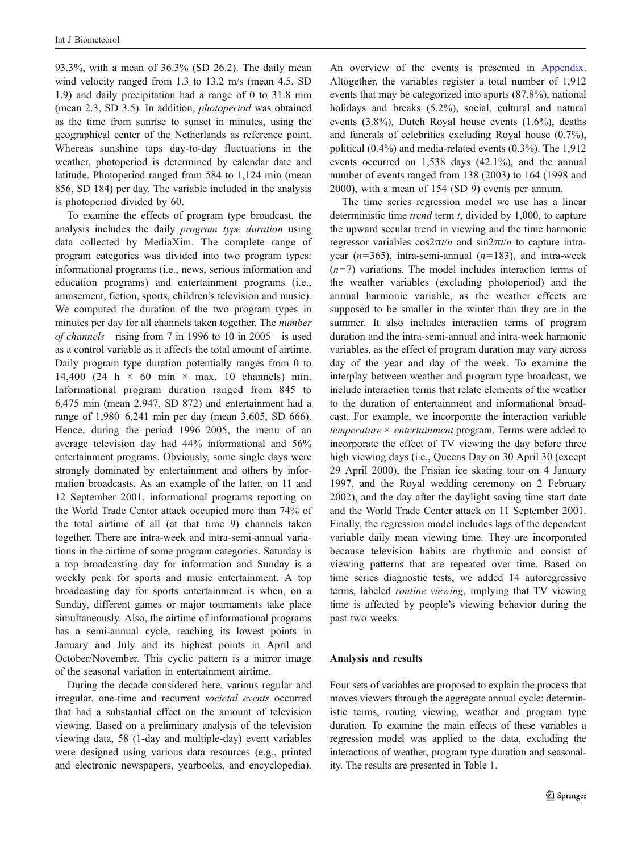93.3%, with a mean of 36.3% (SD 26.2). The daily mean wind velocity ranged from 1.3 to 13.2 m/s (mean 4.5, SD 1.9) and daily precipitation had a range of 0 to 31.8 mm (mean 2.3, SD 3.5). In addition, photoperiod was obtained as the time from sunrise to sunset in minutes, using the geographical center of the Netherlands as reference point. Whereas sunshine taps day-to-day fluctuations in the weather, photoperiod is determined by calendar date and latitude. Photoperiod ranged from 584 to 1,124 min (mean 856, SD 184) per day. The variable included in the analysis is photoperiod divided by 60.

To examine the effects of program type broadcast, the analysis includes the daily program type duration using data collected by MediaXim. The complete range of program categories was divided into two program types: informational programs (i.e., news, serious information and education programs) and entertainment programs (i.e., amusement, fiction, sports, children's television and music). We computed the duration of the two program types in minutes per day for all channels taken together. The number of channels—rising from 7 in 1996 to 10 in 2005—is used as a control variable as it affects the total amount of airtime. Daily program type duration potentially ranges from 0 to 14,400 (24 h  $\times$  60 min  $\times$  max. 10 channels) min. Informational program duration ranged from 845 to 6,475 min (mean 2,947, SD 872) and entertainment had a range of 1,980–6,241 min per day (mean 3,605, SD 666). Hence, during the period 1996–2005, the menu of an average television day had 44% informational and 56% entertainment programs. Obviously, some single days were strongly dominated by entertainment and others by information broadcasts. As an example of the latter, on 11 and 12 September 2001, informational programs reporting on the World Trade Center attack occupied more than 74% of the total airtime of all (at that time 9) channels taken together. There are intra-week and intra-semi-annual variations in the airtime of some program categories. Saturday is a top broadcasting day for information and Sunday is a weekly peak for sports and music entertainment. A top broadcasting day for sports entertainment is when, on a Sunday, different games or major tournaments take place simultaneously. Also, the airtime of informational programs has a semi-annual cycle, reaching its lowest points in January and July and its highest points in April and October/November. This cyclic pattern is a mirror image of the seasonal variation in entertainment airtime.

During the decade considered here, various regular and irregular, one-time and recurrent societal events occurred that had a substantial effect on the amount of television viewing. Based on a preliminary analysis of the television viewing data, 58 (1-day and multiple-day) event variables were designed using various data resources (e.g., printed and electronic newspapers, yearbooks, and encyclopedia).

An overview of the events is presented in [Appendix.](#page-8-0) Altogether, the variables register a total number of 1,912 events that may be categorized into sports (87.8%), national holidays and breaks (5.2%), social, cultural and natural events (3.8%), Dutch Royal house events (1.6%), deaths and funerals of celebrities excluding Royal house (0.7%), political (0.4%) and media-related events (0.3%). The 1,912 events occurred on 1,538 days (42.1%), and the annual number of events ranged from 138 (2003) to 164 (1998 and 2000), with a mean of 154 (SD 9) events per annum.

The time series regression model we use has a linear deterministic time *trend* term *t*, divided by 1,000, to capture the upward secular trend in viewing and the time harmonic regressor variables  $cos2πt/n$  and  $sin2πt/n$  to capture intrayear ( $n=365$ ), intra-semi-annual ( $n=183$ ), and intra-week  $(n=7)$  variations. The model includes interaction terms of the weather variables (excluding photoperiod) and the annual harmonic variable, as the weather effects are supposed to be smaller in the winter than they are in the summer. It also includes interaction terms of program duration and the intra-semi-annual and intra-week harmonic variables, as the effect of program duration may vary across day of the year and day of the week. To examine the interplay between weather and program type broadcast, we include interaction terms that relate elements of the weather to the duration of entertainment and informational broadcast. For example, we incorporate the interaction variable temperature  $\times$  entertainment program. Terms were added to incorporate the effect of TV viewing the day before three high viewing days (i.e., Queens Day on 30 April 30 (except 29 April 2000), the Frisian ice skating tour on 4 January 1997, and the Royal wedding ceremony on 2 February 2002), and the day after the daylight saving time start date and the World Trade Center attack on 11 September 2001. Finally, the regression model includes lags of the dependent variable daily mean viewing time. They are incorporated because television habits are rhythmic and consist of viewing patterns that are repeated over time. Based on time series diagnostic tests, we added 14 autoregressive terms, labeled routine viewing, implying that TV viewing time is affected by people's viewing behavior during the past two weeks.

#### Analysis and results

Four sets of variables are proposed to explain the process that moves viewers through the aggregate annual cycle: deterministic terms, routing viewing, weather and program type duration. To examine the main effects of these variables a regression model was applied to the data, excluding the interactions of weather, program type duration and seasonality. The results are presented in Table [1](#page-5-0).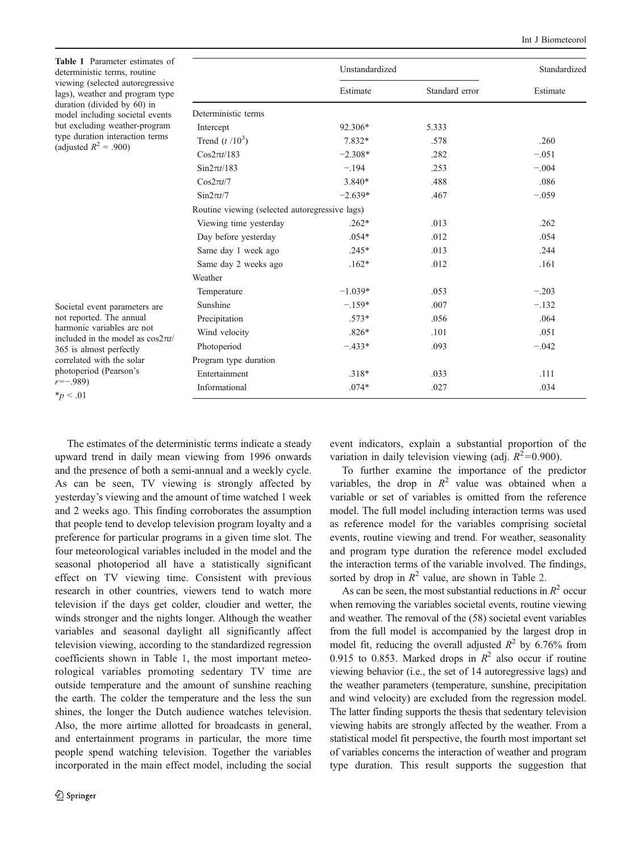<span id="page-5-0"></span>Table 1 Parameter estimate deterministic terms, routine viewing (selected autoregressively) lags), weather and program duration (divided by 60) in model including societal ev but excluding weather-progr type duration interaction ter (adjusted  $R^2$  = .900)

Societal event parameters are not reported. The annual harmonic variables are not included in the model as cos 365 is almost perfectly correlated with the solar photoperiod (Pearson's  $r=-.989$ 

 $*_{p}$  < .01

|                                                | Unstandardized | Standardized   |          |
|------------------------------------------------|----------------|----------------|----------|
|                                                | Estimate       | Standard error | Estimate |
| Deterministic terms                            |                |                |          |
| Intercept                                      | 92.306*        | 5.333          |          |
| Trend $(t/10^3)$                               | 7.832*         | .578           | .260     |
| $Cos2\pi t/183$                                | $-2.308*$      | .282           | $-.051$  |
| $\sin 2\pi t/183$                              | $-.194$        | .253           | $-.004$  |
| $Cos2\pi t/7$                                  | 3.840*         | .488           | .086     |
| $\sin 2\pi t/7$                                | $-2.639*$      | .467           | $-.059$  |
| Routine viewing (selected autoregressive lags) |                |                |          |
| Viewing time yesterday                         | $.262*$        | .013           | .262     |
| Day before yesterday                           | $.054*$        | .012           | .054     |
| Same day 1 week ago                            | $.245*$        | .013           | .244     |
| Same day 2 weeks ago                           | $.162*$        | .012           | .161     |
| Weather                                        |                |                |          |
| Temperature                                    | $-1.039*$      | .053           | $-.203$  |
| Sunshine                                       | $-.159*$       | .007           | $-.132$  |
| Precipitation                                  | $.573*$        | .056           | .064     |
| Wind velocity                                  | $.826*$        | .101           | .051     |
| Photoperiod                                    | $-.433*$       | .093           | $-.042$  |
| Program type duration                          |                |                |          |
| Entertainment                                  | $.318*$        | .033           | .111     |
| Informational                                  | $.074*$        | .027           | .034     |

The estimates of the deterministic terms indicate a steady upward trend in daily mean viewing from 1996 onwards and the presence of both a semi-annual and a weekly cycle. As can be seen, TV viewing is strongly affected by yesterday's viewing and the amount of time watched 1 week and 2 weeks ago. This finding corroborates the assumption that people tend to develop television program loyalty and a preference for particular programs in a given time slot. The four meteorological variables included in the model and the seasonal photoperiod all have a statistically significant effect on TV viewing time. Consistent with previous research in other countries, viewers tend to watch more television if the days get colder, cloudier and wetter, the winds stronger and the nights longer. Although the weather variables and seasonal daylight all significantly affect television viewing, according to the standardized regression coefficients shown in Table 1, the most important meteorological variables promoting sedentary TV time are outside temperature and the amount of sunshine reaching the earth. The colder the temperature and the less the sun shines, the longer the Dutch audience watches television. Also, the more airtime allotted for broadcasts in general, and entertainment programs in particular, the more time people spend watching television. Together the variables incorporated in the main effect model, including the social event indicators, explain a substantial proportion of the variation in daily television viewing (adj.  $R^2$ =0.900).

To further examine the importance of the predictor variables, the drop in  $R^2$  value was obtained when a variable or set of variables is omitted from the reference model. The full model including interaction terms was used as reference model for the variables comprising societal events, routine viewing and trend. For weather, seasonality and program type duration the reference model excluded the interaction terms of the variable involved. The findings, sorted by drop in  $R^2$  $R^2$  value, are shown in Table 2.

As can be seen, the most substantial reductions in  $R^2$  occur when removing the variables societal events, routine viewing and weather. The removal of the (58) societal event variables from the full model is accompanied by the largest drop in model fit, reducing the overall adjusted  $R^2$  by 6.76% from 0.915 to 0.853. Marked drops in  $R^2$  also occur if routine viewing behavior (i.e., the set of 14 autoregressive lags) and the weather parameters (temperature, sunshine, precipitation and wind velocity) are excluded from the regression model. The latter finding supports the thesis that sedentary television viewing habits are strongly affected by the weather. From a statistical model fit perspective, the fourth most important set of variables concerns the interaction of weather and program type duration. This result supports the suggestion that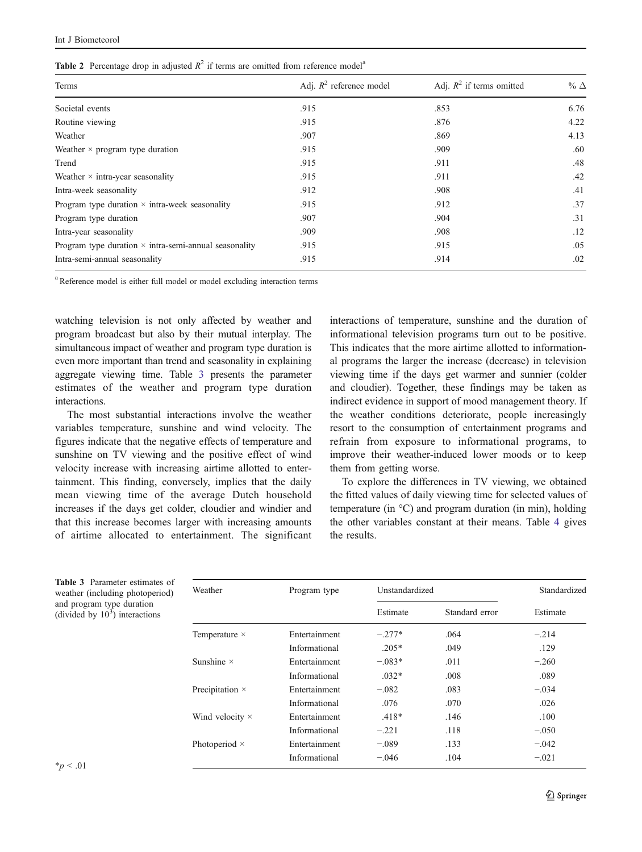<span id="page-6-0"></span>

|  | <b>Table 2</b> Percentage drop in adjusted $R^2$ if terms are omitted from reference model <sup>a</sup> |  |  |  |  |  |  |  |  |
|--|---------------------------------------------------------------------------------------------------------|--|--|--|--|--|--|--|--|
|--|---------------------------------------------------------------------------------------------------------|--|--|--|--|--|--|--|--|

| Terms                                                        | Adj. $R^2$ reference model | Adj. $R^2$ if terms omitted | $% \Delta$ |
|--------------------------------------------------------------|----------------------------|-----------------------------|------------|
| Societal events                                              | .915                       | .853                        | 6.76       |
| Routine viewing                                              | .915                       | .876                        | 4.22       |
| Weather                                                      | .907                       | .869                        | 4.13       |
| Weather $\times$ program type duration                       | .915                       | .909                        | .60        |
| Trend                                                        | .915                       | .911                        | .48        |
| Weather $\times$ intra-year seasonality                      | .915                       | .911                        | .42        |
| Intra-week seasonality                                       | .912                       | .908                        | .41        |
| Program type duration $\times$ intra-week seasonality        | .915                       | .912                        | .37        |
| Program type duration                                        | .907                       | .904                        | .31        |
| Intra-year seasonality                                       | .909                       | .908                        | .12        |
| Program type duration $\times$ intra-semi-annual seasonality | .915                       | .915                        | .05        |
| Intra-semi-annual seasonality                                | .915                       | .914                        | .02        |

<sup>a</sup> Reference model is either full model or model excluding interaction terms

watching television is not only affected by weather and program broadcast but also by their mutual interplay. The simultaneous impact of weather and program type duration is even more important than trend and seasonality in explaining aggregate viewing time. Table 3 presents the parameter estimates of the weather and program type duration interactions.

The most substantial interactions involve the weather variables temperature, sunshine and wind velocity. The figures indicate that the negative effects of temperature and sunshine on TV viewing and the positive effect of wind velocity increase with increasing airtime allotted to entertainment. This finding, conversely, implies that the daily mean viewing time of the average Dutch household increases if the days get colder, cloudier and windier and that this increase becomes larger with increasing amounts of airtime allocated to entertainment. The significant interactions of temperature, sunshine and the duration of informational television programs turn out to be positive. This indicates that the more airtime allotted to informational programs the larger the increase (decrease) in television viewing time if the days get warmer and sunnier (colder and cloudier). Together, these findings may be taken as indirect evidence in support of mood management theory. If the weather conditions deteriorate, people increasingly resort to the consumption of entertainment programs and refrain from exposure to informational programs, to improve their weather-induced lower moods or to keep them from getting worse.

To explore the differences in TV viewing, we obtained the fitted values of daily viewing time for selected values of temperature (in °C) and program duration (in min), holding the other variables constant at their means. Table [4](#page-7-0) gives the results.

| Weather                | Program type  | Unstandardized |                | Standardized |  |
|------------------------|---------------|----------------|----------------|--------------|--|
|                        |               | Estimate       | Standard error | Estimate     |  |
| Temperature $\times$   | Entertainment | $-.277*$       | .064           | $-.214$      |  |
|                        | Informational | $.205*$        | .049           | .129         |  |
| Sunshine $\times$      | Entertainment | $-.083*$       | .011           | $-.260$      |  |
|                        | Informational | $.032*$        | .008           | .089         |  |
| Precipitation $\times$ | Entertainment | $-.082$        | .083           | $-.034$      |  |
|                        | Informational | .076           | .070           | .026         |  |
| Wind velocity $\times$ | Entertainment | $.418*$        | .146           | .100         |  |
|                        | Informational | $-.221$        | .118           | $-.050$      |  |
| Photoperiod $\times$   | Entertainment | $-.089$        | .133           | $-.042$      |  |
|                        | Informational | $-.046$        | .104           | $-.021$      |  |

Table 3 Parameter estimates of weather (including photoperiod) and program type duration (divided by  $10^3$ ) interactions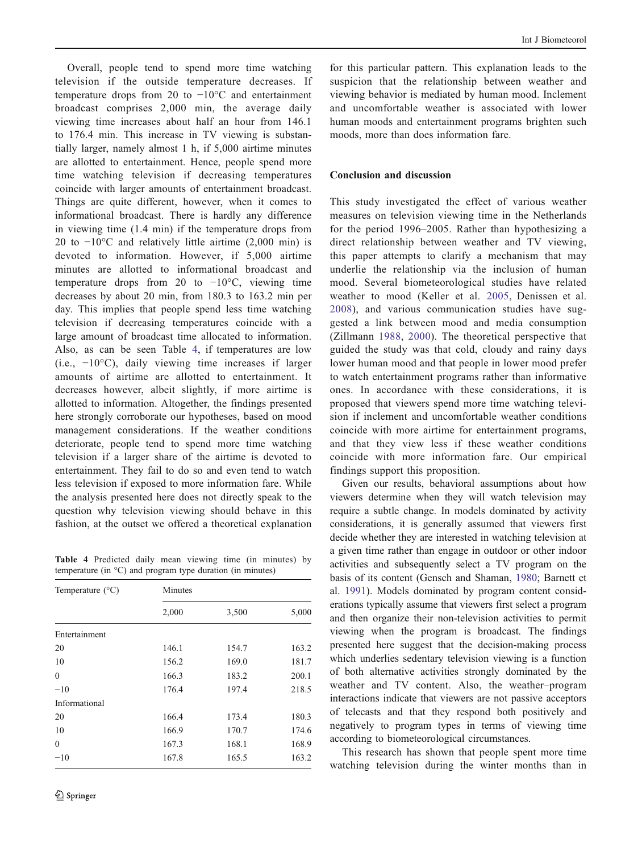<span id="page-7-0"></span>Overall, people tend to spend more time watching television if the outside temperature decreases. If temperature drops from 20 to −10°C and entertainment broadcast comprises 2,000 min, the average daily viewing time increases about half an hour from 146.1 to 176.4 min. This increase in TV viewing is substantially larger, namely almost 1 h, if 5,000 airtime minutes are allotted to entertainment. Hence, people spend more time watching television if decreasing temperatures coincide with larger amounts of entertainment broadcast. Things are quite different, however, when it comes to informational broadcast. There is hardly any difference in viewing time (1.4 min) if the temperature drops from 20 to −10°C and relatively little airtime (2,000 min) is devoted to information. However, if 5,000 airtime minutes are allotted to informational broadcast and temperature drops from 20 to  $-10$ °C, viewing time decreases by about 20 min, from 180.3 to 163.2 min per day. This implies that people spend less time watching television if decreasing temperatures coincide with a large amount of broadcast time allocated to information. Also, as can be seen Table 4, if temperatures are low (i.e., −10°C), daily viewing time increases if larger amounts of airtime are allotted to entertainment. It decreases however, albeit slightly, if more airtime is allotted to information. Altogether, the findings presented here strongly corroborate our hypotheses, based on mood management considerations. If the weather conditions deteriorate, people tend to spend more time watching television if a larger share of the airtime is devoted to entertainment. They fail to do so and even tend to watch less television if exposed to more information fare. While the analysis presented here does not directly speak to the question why television viewing should behave in this fashion, at the outset we offered a theoretical explanation

Table 4 Predicted daily mean viewing time (in minutes) by temperature (in °C) and program type duration (in minutes)

| Temperature $(^{\circ}C)$ | Minutes |       |       |  |  |
|---------------------------|---------|-------|-------|--|--|
|                           | 2,000   | 3,500 | 5,000 |  |  |
| Entertainment             |         |       |       |  |  |
| 20                        | 146.1   | 154.7 | 163.2 |  |  |
| 10                        | 156.2   | 169.0 | 181.7 |  |  |
| $\Omega$                  | 166.3   | 183.2 | 200.1 |  |  |
| $-10$                     | 176.4   | 197.4 | 218.5 |  |  |
| Informational             |         |       |       |  |  |
| 20                        | 166.4   | 173.4 | 180.3 |  |  |
| 10                        | 166.9   | 170.7 | 174.6 |  |  |
| $\mathbf{0}$              | 167.3   | 168.1 | 168.9 |  |  |
| $-10$                     | 167.8   | 165.5 | 163.2 |  |  |

for this particular pattern. This explanation leads to the suspicion that the relationship between weather and viewing behavior is mediated by human mood. Inclement and uncomfortable weather is associated with lower human moods and entertainment programs brighten such moods, more than does information fare.

## Conclusion and discussion

This study investigated the effect of various weather measures on television viewing time in the Netherlands for the period 1996–2005. Rather than hypothesizing a direct relationship between weather and TV viewing, this paper attempts to clarify a mechanism that may underlie the relationship via the inclusion of human mood. Several biometeorological studies have related weather to mood (Keller et al. [2005](#page-9-0), Denissen et al. [2008\)](#page-9-0), and various communication studies have suggested a link between mood and media consumption (Zillmann [1988](#page-9-0), [2000\)](#page-9-0). The theoretical perspective that guided the study was that cold, cloudy and rainy days lower human mood and that people in lower mood prefer to watch entertainment programs rather than informative ones. In accordance with these considerations, it is proposed that viewers spend more time watching television if inclement and uncomfortable weather conditions coincide with more airtime for entertainment programs, and that they view less if these weather conditions coincide with more information fare. Our empirical findings support this proposition.

Given our results, behavioral assumptions about how viewers determine when they will watch television may require a subtle change. In models dominated by activity considerations, it is generally assumed that viewers first decide whether they are interested in watching television at a given time rather than engage in outdoor or other indoor activities and subsequently select a TV program on the basis of its content (Gensch and Shaman, [1980;](#page-9-0) Barnett et al. [1991\)](#page-9-0). Models dominated by program content considerations typically assume that viewers first select a program and then organize their non-television activities to permit viewing when the program is broadcast. The findings presented here suggest that the decision-making process which underlies sedentary television viewing is a function of both alternative activities strongly dominated by the weather and TV content. Also, the weather–program interactions indicate that viewers are not passive acceptors of telecasts and that they respond both positively and negatively to program types in terms of viewing time according to biometeorological circumstances.

This research has shown that people spent more time watching television during the winter months than in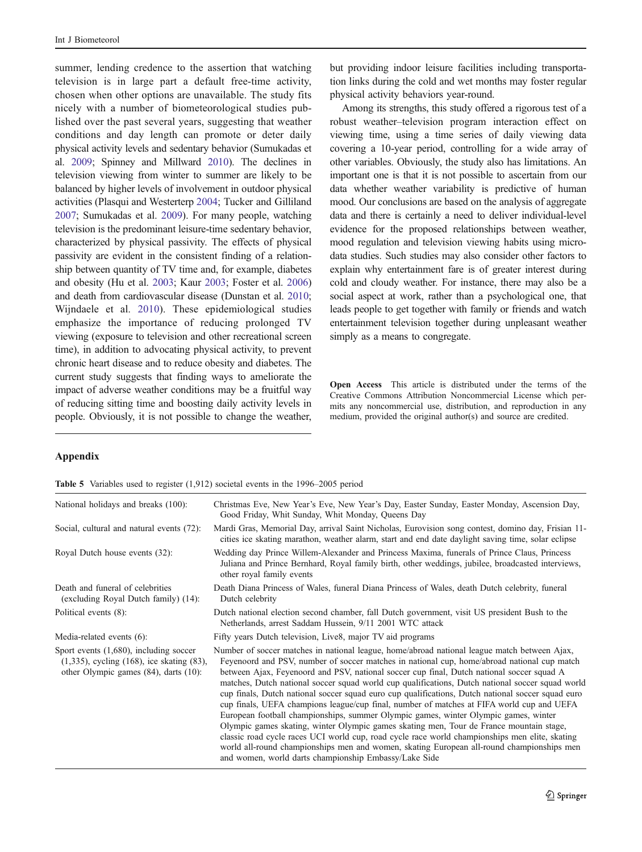<span id="page-8-0"></span>summer, lending credence to the assertion that watching television is in large part a default free-time activity, chosen when other options are unavailable. The study fits nicely with a number of biometeorological studies published over the past several years, suggesting that weather conditions and day length can promote or deter daily physical activity levels and sedentary behavior (Sumukadas et al. [2009](#page-9-0); Spinney and Millward [2010](#page-9-0)). The declines in television viewing from winter to summer are likely to be balanced by higher levels of involvement in outdoor physical activities (Plasqui and Westerterp [2004;](#page-9-0) Tucker and Gilliland [2007;](#page-9-0) Sumukadas et al. [2009](#page-9-0)). For many people, watching television is the predominant leisure-time sedentary behavior, characterized by physical passivity. The effects of physical passivity are evident in the consistent finding of a relationship between quantity of TV time and, for example, diabetes and obesity (Hu et al. [2003](#page-9-0); Kaur [2003;](#page-9-0) Foster et al. [2006\)](#page-9-0) and death from cardiovascular disease (Dunstan et al. [2010](#page-9-0); Wijndaele et al. [2010](#page-9-0)). These epidemiological studies emphasize the importance of reducing prolonged TV viewing (exposure to television and other recreational screen time), in addition to advocating physical activity, to prevent chronic heart disease and to reduce obesity and diabetes. The current study suggests that finding ways to ameliorate the impact of adverse weather conditions may be a fruitful way of reducing sitting time and boosting daily activity levels in people. Obviously, it is not possible to change the weather,

but providing indoor leisure facilities including transportation links during the cold and wet months may foster regular physical activity behaviors year-round.

Among its strengths, this study offered a rigorous test of a robust weather–television program interaction effect on viewing time, using a time series of daily viewing data covering a 10-year period, controlling for a wide array of other variables. Obviously, the study also has limitations. An important one is that it is not possible to ascertain from our data whether weather variability is predictive of human mood. Our conclusions are based on the analysis of aggregate data and there is certainly a need to deliver individual-level evidence for the proposed relationships between weather, mood regulation and television viewing habits using microdata studies. Such studies may also consider other factors to explain why entertainment fare is of greater interest during cold and cloudy weather. For instance, there may also be a social aspect at work, rather than a psychological one, that leads people to get together with family or friends and watch entertainment television together during unpleasant weather simply as a means to congregate.

Open Access This article is distributed under the terms of the Creative Commons Attribution Noncommercial License which permits any noncommercial use, distribution, and reproduction in any medium, provided the original author(s) and source are credited.

#### Appendix

| <b>Table 5</b> Variables used to register $(1,912)$ societal events in the 1996–2005 period |  |
|---------------------------------------------------------------------------------------------|--|
|---------------------------------------------------------------------------------------------|--|

| National holidays and breaks (100):                                                                                                            | Christmas Eve, New Year's Eve, New Year's Day, Easter Sunday, Easter Monday, Ascension Day,<br>Good Friday, Whit Sunday, Whit Monday, Queens Day                                                                                                                                                                                                                                                                                                                                                                                                                                                                                                                                                                                                                                                                                                                                                                                                                                                                                         |
|------------------------------------------------------------------------------------------------------------------------------------------------|------------------------------------------------------------------------------------------------------------------------------------------------------------------------------------------------------------------------------------------------------------------------------------------------------------------------------------------------------------------------------------------------------------------------------------------------------------------------------------------------------------------------------------------------------------------------------------------------------------------------------------------------------------------------------------------------------------------------------------------------------------------------------------------------------------------------------------------------------------------------------------------------------------------------------------------------------------------------------------------------------------------------------------------|
| Social, cultural and natural events (72):                                                                                                      | Mardi Gras, Memorial Day, arrival Saint Nicholas, Eurovision song contest, domino day, Frisian 11-<br>cities ice skating marathon, weather alarm, start and end date daylight saving time, solar eclipse                                                                                                                                                                                                                                                                                                                                                                                                                                                                                                                                                                                                                                                                                                                                                                                                                                 |
| Royal Dutch house events (32):                                                                                                                 | Wedding day Prince Willem-Alexander and Princess Maxima, funerals of Prince Claus, Princess<br>Juliana and Prince Bernhard, Royal family birth, other weddings, jubilee, broadcasted interviews,<br>other royal family events                                                                                                                                                                                                                                                                                                                                                                                                                                                                                                                                                                                                                                                                                                                                                                                                            |
| Death and funeral of celebrities<br>(excluding Royal Dutch family) (14):                                                                       | Death Diana Princess of Wales, funeral Diana Princess of Wales, death Dutch celebrity, funeral<br>Dutch celebrity                                                                                                                                                                                                                                                                                                                                                                                                                                                                                                                                                                                                                                                                                                                                                                                                                                                                                                                        |
| Political events (8):                                                                                                                          | Dutch national election second chamber, fall Dutch government, visit US president Bush to the<br>Netherlands, arrest Saddam Hussein, 9/11 2001 WTC attack                                                                                                                                                                                                                                                                                                                                                                                                                                                                                                                                                                                                                                                                                                                                                                                                                                                                                |
| Media-related events (6):                                                                                                                      | Fifty years Dutch television, Live8, major TV aid programs                                                                                                                                                                                                                                                                                                                                                                                                                                                                                                                                                                                                                                                                                                                                                                                                                                                                                                                                                                               |
| Sport events $(1,680)$ , including soccer<br>$(1,335)$ , cycling $(168)$ , ice skating $(83)$ ,<br>other Olympic games $(84)$ , darts $(10)$ : | Number of soccer matches in national league, home/abroad national league match between Ajax,<br>Feyenoord and PSV, number of soccer matches in national cup, home/abroad national cup match<br>between Ajax, Feyenoord and PSV, national soccer cup final, Dutch national soccer squad A<br>matches, Dutch national soccer squad world cup qualifications, Dutch national soccer squad world<br>cup finals, Dutch national soccer squad euro cup qualifications, Dutch national soccer squad euro<br>cup finals, UEFA champions league/cup final, number of matches at FIFA world cup and UEFA<br>European football championships, summer Olympic games, winter Olympic games, winter<br>Olympic games skating, winter Olympic games skating men, Tour de France mountain stage,<br>classic road cycle races UCI world cup, road cycle race world championships men elite, skating<br>world all-round championships men and women, skating European all-round championships men<br>and women, world darts championship Embassy/Lake Side |